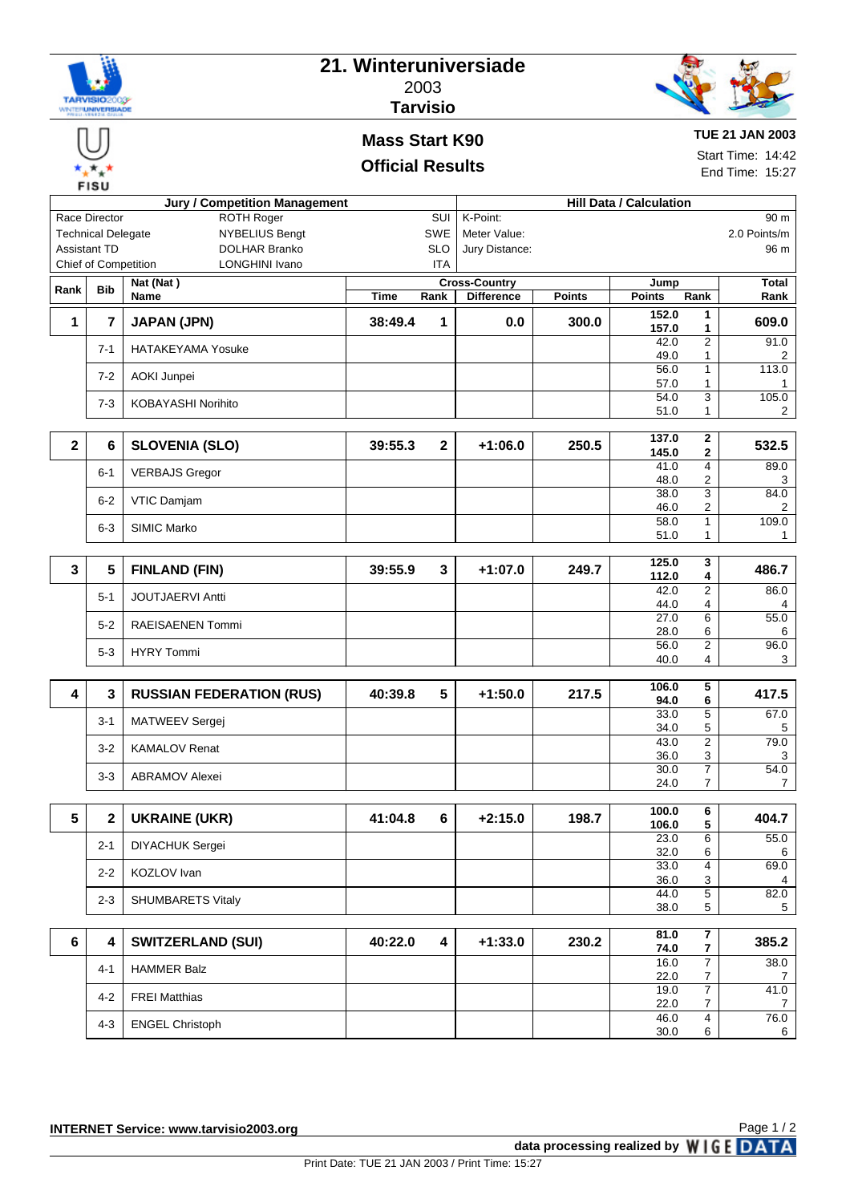| <b>NEIVISE</b> |
|----------------|
|                |

## **21. Winteruniversiade** 2003



# **Tarvisio Mass Start K90**

### **Official Results**

**TUE 21 JAN 2003**

Start Time: 14:42 End Time: 15:27

|                                                    |                             | <b>Jury / Competition Management</b> | <b>Hill Data / Calculation</b> |                         |                                           |               |                                                  |                         |  |
|----------------------------------------------------|-----------------------------|--------------------------------------|--------------------------------|-------------------------|-------------------------------------------|---------------|--------------------------------------------------|-------------------------|--|
| Race Director<br>ROTH Roger<br>SUI                 |                             |                                      |                                |                         | K-Point:                                  |               |                                                  | 90 m                    |  |
| <b>NYBELIUS Bengt</b><br><b>Technical Delegate</b> |                             |                                      |                                | SWE                     | Meter Value:                              |               |                                                  | 2.0 Points/m            |  |
|                                                    | <b>Assistant TD</b>         | <b>DOLHAR Branko</b>                 |                                | <b>SLO</b>              | Jury Distance:                            |               |                                                  | 96 m                    |  |
|                                                    | <b>Chief of Competition</b> | <b>LONGHINI Ivano</b>                |                                | ITA                     |                                           |               |                                                  |                         |  |
| Rank                                               | <b>Bib</b>                  | Nat (Nat)<br>Name                    | <b>Time</b>                    | Rank                    | <b>Cross-Country</b><br><b>Difference</b> | <b>Points</b> | Jump<br><b>Points</b><br>Rank                    | Total<br>Rank           |  |
|                                                    |                             |                                      |                                |                         |                                           |               | 152.0<br>1                                       |                         |  |
| 1                                                  | 7                           | <b>JAPAN (JPN)</b>                   | 38:49.4                        | 1                       | 0.0                                       | 300.0         | 157.0<br>1                                       | 609.0                   |  |
|                                                    | $7 - 1$                     | <b>HATAKEYAMA Yosuke</b>             |                                |                         |                                           |               | $\overline{2}$<br>42.0<br>49.0<br>1              | 91.0<br>2               |  |
|                                                    | $7 - 2$                     | AOKI Junpei                          |                                |                         |                                           |               | 56.0<br>$\mathbf{1}$<br>57.0<br>1                | 113.0<br>1              |  |
|                                                    | $7-3$                       | <b>KOBAYASHI Norihito</b>            |                                |                         |                                           |               | 54.0<br>3<br>51.0<br>$\mathbf{1}$                | 105.0<br>$\overline{2}$ |  |
|                                                    |                             |                                      |                                |                         |                                           |               |                                                  |                         |  |
| $\mathbf{2}$                                       | 6                           | <b>SLOVENIA (SLO)</b>                | 39:55.3                        | $\mathbf{2}$            | $+1:06.0$                                 | 250.5         | 137.0<br>$\mathbf{2}$<br>$\mathbf 2$<br>145.0    | 532.5                   |  |
|                                                    | $6 - 1$                     | <b>VERBAJS Gregor</b>                |                                |                         |                                           |               | $\overline{4}$<br>41.0<br>2<br>48.0              | 89.0<br>3               |  |
|                                                    | $6 - 2$                     | VTIC Damjam                          |                                |                         |                                           |               | $\overline{3}$<br>38.0<br>46.0<br>2              | 84.0<br>2               |  |
|                                                    | $6 - 3$                     | <b>SIMIC Marko</b>                   |                                |                         |                                           |               | $\mathbf{1}$<br>58.0                             | 109.0                   |  |
|                                                    |                             |                                      |                                |                         |                                           |               | 51.0<br>$\mathbf{1}$                             | $\mathbf{1}$            |  |
|                                                    |                             |                                      |                                |                         |                                           |               | 125.0<br>3                                       |                         |  |
| $\mathbf 3$                                        | 5                           | <b>FINLAND (FIN)</b>                 | 39:55.9                        | 3                       | $+1:07.0$                                 | 249.7         | 112.0<br>4                                       | 486.7                   |  |
|                                                    | $5 - 1$                     | <b>JOUTJAERVI Antti</b>              |                                |                         |                                           |               | 42.0<br>2<br>44.0<br>4                           | 86.0<br>4               |  |
|                                                    | $5 - 2$                     | <b>RAEISAENEN Tommi</b>              |                                |                         |                                           |               | $\overline{6}$<br>27.0<br>28.0<br>6              | 55.0<br>6               |  |
|                                                    | $5 - 3$                     | <b>HYRY Tommi</b>                    |                                |                         |                                           |               | $\overline{2}$<br>56.0<br>40.0<br>4              | 96.0<br>3               |  |
|                                                    |                             |                                      |                                |                         |                                           |               |                                                  |                         |  |
| 4                                                  | 3                           | <b>RUSSIAN FEDERATION (RUS)</b>      | 40:39.8                        | 5                       | $+1:50.0$                                 | 217.5         | 5<br>106.0<br>6<br>94.0                          | 417.5                   |  |
|                                                    | $3 - 1$                     | MATWEEV Sergej                       |                                |                         |                                           |               | 5<br>33.0<br>5<br>34.0                           | 67.0<br>5               |  |
|                                                    | $3-2$                       | <b>KAMALOV Renat</b>                 |                                |                         |                                           |               | 2<br>43.0                                        | 79.0                    |  |
|                                                    |                             |                                      |                                |                         |                                           |               | 3<br>36.0<br>7<br>30.0                           | 3<br>54.0               |  |
|                                                    | 3-3                         | <b>ABRAMOV Alexei</b>                |                                |                         |                                           |               | $\overline{7}$<br>24.0                           | 7                       |  |
| $5\phantom{a}$                                     | $\mathbf 2$                 | <b>UKRAINE (UKR)</b>                 | 41:04.8                        | 6                       | $+2:15.0$                                 | 198.7         | 100.0<br>6                                       | 404.7                   |  |
|                                                    |                             |                                      |                                |                         |                                           |               | 5<br>106.0<br>23.0                               | 55.0                    |  |
|                                                    | $2 - 1$                     | DIYACHUK Sergei                      |                                |                         |                                           |               | 6<br>32.0<br>6                                   | 6                       |  |
|                                                    | $2 - 2$                     | KOZLOV Ivan                          |                                |                         |                                           |               | 33.0<br>4<br>36.0<br>3                           | 69.0<br>4               |  |
|                                                    | $2 - 3$                     | <b>SHUMBARETS Vitaly</b>             |                                |                         |                                           |               | $\overline{5}$<br>44.0                           | 82.0                    |  |
|                                                    |                             |                                      |                                |                         |                                           |               | 5<br>38.0                                        | 5 <sup>5</sup>          |  |
| 6                                                  | 4                           | <b>SWITZERLAND (SUI)</b>             | 40:22.0                        | $\overline{\mathbf{4}}$ | $+1:33.0$                                 | 230.2         | 81.0<br>$\overline{7}$                           | 385.2                   |  |
|                                                    |                             |                                      |                                |                         |                                           |               | $\overline{\mathbf{r}}$<br>74.0                  |                         |  |
|                                                    | 4-1                         | <b>HAMMER Balz</b>                   |                                |                         |                                           |               | 7<br>16.0<br>$\overline{7}$<br>22.0              | 38.0<br>$\overline{7}$  |  |
|                                                    | 4-2                         | <b>FREI Matthias</b>                 |                                |                         |                                           |               | $\overline{7}$<br>19.0<br>22.0<br>$\overline{7}$ | 41.0<br>$\overline{7}$  |  |
|                                                    | $4 - 3$                     | <b>ENGEL Christoph</b>               |                                |                         |                                           |               | $\overline{4}$<br>46.0<br>30.0<br>6              | 76.0<br>6               |  |
|                                                    |                             |                                      |                                |                         |                                           |               |                                                  |                         |  |